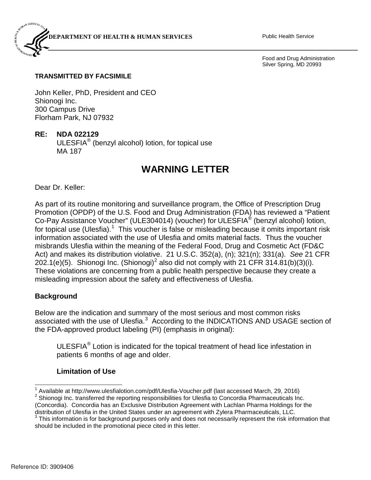Food and Drug Administration Silver Spring, MD 20993

# **DEPARTMENT OF HEALTH & HUMAN SERVICES** Public Health Service

#### **TRANSMITTED BY FACSIMILE**

John Keller, PhD, President and CEO Shionogi Inc. 300 Campus Drive Florham Park, NJ 07932

## **RE: NDA 022129**

ULESFIA® (benzyl alcohol) lotion, for topical use MA 187

# **WARNING LETTER**

Dear Dr. Keller:

As part of its routine monitoring and surveillance program, the Office of Prescription Drug Promotion (OPDP) of the U.S. Food and Drug Administration (FDA) has reviewed a "Patient Co-Pay Assistance Voucher" (ULE304014) (voucher) for ULESFIA<sup>®</sup> (benzyl alcohol) lotion, for topical use (Ulesfia).<sup>1</sup> This voucher is false or misleading because it omits important risk information associated with the use of Ulesfia and omits material facts. Thus the voucher misbrands Ulesfia within the meaning of the Federal Food, Drug and Cosmetic Act (FD&C Act) and makes its distribution violative. 21 U.S.C. 352(a), (n); 321(n); 331(a). *See* 21 CFR 202.1(e)(5). Shionogi Inc. (Shionogi)<sup>2</sup> also did not comply with 21 CFR 314.81(b)(3)(i). These violations are concerning from a public health perspective because they create a misleading impression about the safety and effectiveness of Ulesfia.

### **Background**

Below are the indication and summary of the most serious and most common risks associated with the use of Ulesfia.<sup>3</sup> According to the INDICATIONS AND USAGE section of the FDA-approved product labeling (PI) (emphasis in original):

ULESFIA® Lotion is indicated for the topical treatment of head lice infestation in patients 6 months of age and older.

#### **Limitation of Use**

<sup>1</sup> Available at http://www.ulesfialotion.com/pdf/Ulesfia-Voucher.pdf (last accessed March, 29, 2016)  $2$  Shionogi Inc. transferred the reporting responsibilities for Ulesfia to Concordia Pharmaceuticals Inc. (Concordia). Concordia has an Exclusive Distribution Agreement with Lachlan Pharma Holdings for the distribution of Ulesfia in the United States under an agreement with Zylera Pharmaceuticals, LLC.

 $3$  This information is for background purposes only and does not necessarily represent the risk information that should be included in the promotional piece cited in this letter.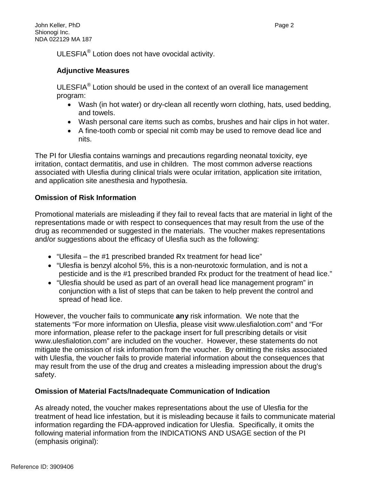ULESFIA® Lotion does not have ovocidal activity.

#### **Adjunctive Measures**

ULESFIA® Lotion should be used in the context of an overall lice management program:

- Wash (in hot water) or dry-clean all recently worn clothing, hats, used bedding, and towels.
- Wash personal care items such as combs, brushes and hair clips in hot water.
- A fine-tooth comb or special nit comb may be used to remove dead lice and nits.

The PI for Ulesfia contains warnings and precautions regarding neonatal toxicity, eye irritation, contact dermatitis, and use in children. The most common adverse reactions associated with Ulesfia during clinical trials were ocular irritation, application site irritation, and application site anesthesia and hypothesia.

#### **Omission of Risk Information**

Promotional materials are misleading if they fail to reveal facts that are material in light of the representations made or with respect to consequences that may result from the use of the drug as recommended or suggested in the materials. The voucher makes representations and/or suggestions about the efficacy of Ulesfia such as the following:

- $\bullet$  "Ulesifa the #1 prescribed branded Rx treatment for head lice"
- "Ulesfia is benzyl alcohol 5%, this is a non-neurotoxic formulation, and is not a pesticide and is the #1 prescribed branded Rx product for the treatment of head lice."
- "Ulesfia should be used as part of an overall head lice management program" in conjunction with a list of steps that can be taken to help prevent the control and spread of head lice.

However, the voucher fails to communicate **any** risk information. We note that the statements "For more information on Ulesfia, please visit www.ulesfialotion.com" and "For more information, please refer to the package insert for full prescribing details or visit www.ulesfialotion.com" are included on the voucher. However, these statements do not mitigate the omission of risk information from the voucher. By omitting the risks associated with Ulesfia, the voucher fails to provide material information about the consequences that may result from the use of the drug and creates a misleading impression about the drug's safety.

#### **Omission of Material Facts/Inadequate Communication of Indication**

As already noted, the voucher makes representations about the use of Ulesfia for the treatment of head lice infestation, but it is misleading because it fails to communicate material information regarding the FDA-approved indication for Ulesfia. Specifically, it omits the following material information from the INDICATIONS AND USAGE section of the PI (emphasis original):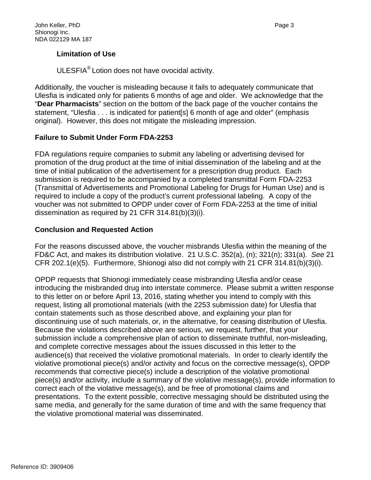#### **Limitation of Use**

ULESFIA® Lotion does not have ovocidal activity.

Additionally, the voucher is misleading because it fails to adequately communicate that Ulesfia is indicated only for patients 6 months of age and older. We acknowledge that the "**Dear Pharmacists**" section on the bottom of the back page of the voucher contains the statement, "Ulesfia . . . is indicated for patient[s] 6 month of age and older" (emphasis original). However, this does not mitigate the misleading impression.

#### **Failure to Submit Under Form FDA-2253**

FDA regulations require companies to submit any labeling or advertising devised for promotion of the drug product at the time of initial dissemination of the labeling and at the time of initial publication of the advertisement for a prescription drug product. Each submission is required to be accompanied by a completed transmittal Form FDA-2253 (Transmittal of Advertisements and Promotional Labeling for Drugs for Human Use) and is required to include a copy of the product's current professional labeling. A copy of the voucher was not submitted to OPDP under cover of Form FDA-2253 at the time of initial dissemination as required by 21 CFR 314.81(b)(3)(i).

#### **Conclusion and Requested Action**

For the reasons discussed above, the voucher misbrands Ulesfia within the meaning of the FD&C Act, and makes its distribution violative. 21 U.S.C. 352(a), (n); 321(n); 331(a). *See* 21 CFR 202.1(e)(5). Furthermore, Shionogi also did not comply with 21 CFR 314.81(b)(3)(i).

OPDP requests that Shionogi immediately cease misbranding Ulesfia and/or cease introducing the misbranded drug into interstate commerce. Please submit a written response to this letter on or before April 13, 2016, stating whether you intend to comply with this request, listing all promotional materials (with the 2253 submission date) for Ulesfia that contain statements such as those described above, and explaining your plan for discontinuing use of such materials, or, in the alternative, for ceasing distribution of Ulesfia. Because the violations described above are serious, we request, further, that your submission include a comprehensive plan of action to disseminate truthful, non-misleading, and complete corrective messages about the issues discussed in this letter to the audience(s) that received the violative promotional materials. In order to clearly identify the violative promotional piece(s) and/or activity and focus on the corrective message(s), OPDP recommends that corrective piece(s) include a description of the violative promotional piece(s) and/or activity, include a summary of the violative message(s), provide information to correct each of the violative message(s), and be free of promotional claims and presentations. To the extent possible, corrective messaging should be distributed using the same media, and generally for the same duration of time and with the same frequency that the violative promotional material was disseminated.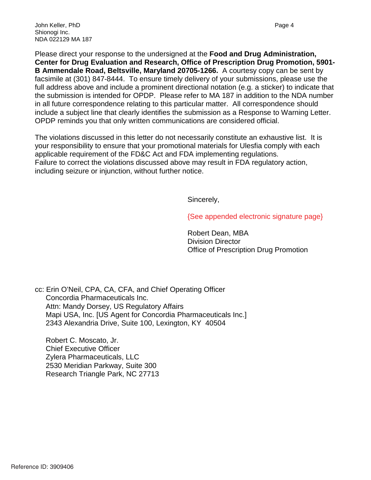John Keller, PhD Page 4 Shionogi Inc. NDA 022129 MA 187

Please direct your response to the undersigned at the **Food and Drug Administration, Center for Drug Evaluation and Research, Office of Prescription Drug Promotion, 5901- B Ammendale Road, Beltsville, Maryland 20705-1266.** A courtesy copy can be sent by facsimile at (301) 847-8444. To ensure timely delivery of your submissions, please use the full address above and include a prominent directional notation (e.g. a sticker) to indicate that the submission is intended for OPDP. Please refer to MA 187 in addition to the NDA number in all future correspondence relating to this particular matter. All correspondence should include a subject line that clearly identifies the submission as a Response to Warning Letter. OPDP reminds you that only written communications are considered official.

The violations discussed in this letter do not necessarily constitute an exhaustive list. It is your responsibility to ensure that your promotional materials for Ulesfia comply with each applicable requirement of the FD&C Act and FDA implementing regulations. Failure to correct the violations discussed above may result in FDA regulatory action, including seizure or injunction, without further notice.

Sincerely,

{See appended electronic signature page}

Robert Dean, MBA Division Director Office of Prescription Drug Promotion

cc: Erin O'Neil, CPA, CA, CFA, and Chief Operating Officer Concordia Pharmaceuticals Inc. Attn: Mandy Dorsey, US Regulatory Affairs Mapi USA, Inc. [US Agent for Concordia Pharmaceuticals Inc.] 2343 Alexandria Drive, Suite 100, Lexington, KY 40504

Robert C. Moscato, Jr. Chief Executive Officer Zylera Pharmaceuticals, LLC 2530 Meridian Parkway, Suite 300 Research Triangle Park, NC 27713